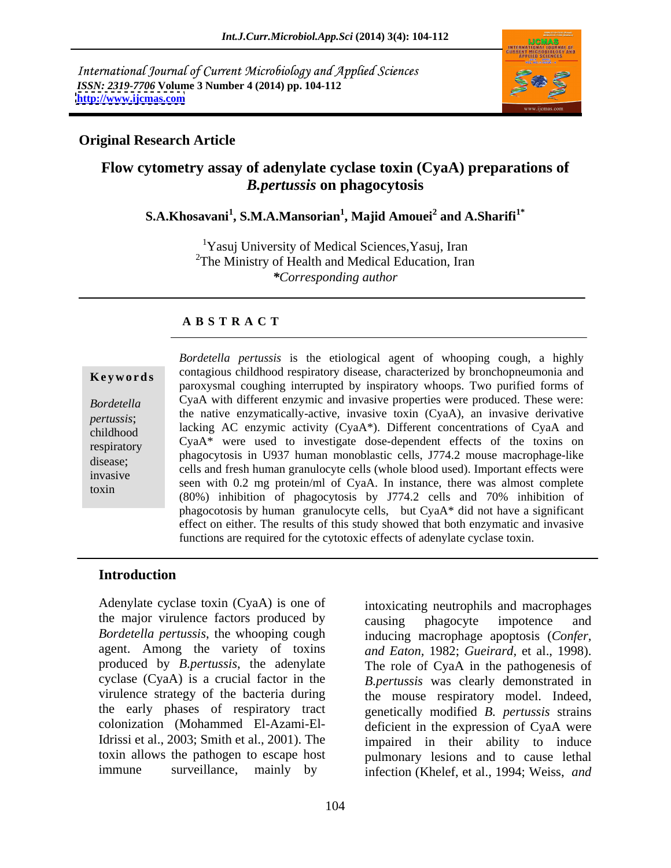International Journal of Current Microbiology and Applied Sciences *ISSN: 2319-7706* **Volume 3 Number 4 (2014) pp. 104-112 <http://www.ijcmas.com>**



## **Original Research Article**

# **Flow cytometry assay of adenylate cyclase toxin (CyaA) preparations of**  *B.pertussis* **on phagocytosis**

## $\mathbf{S.A.}$ Khosavani $^1$ ,  $\mathbf{S.M.} \mathbf{A.M}$ ansorian $^1$ ,  $\mathbf{Majid A}$  and  $\mathbf{A.A.}$ Sharifi $^{1^*}$ **and A.Sharifi1\***

<sup>1</sup>Yasuj University of Medical Sciences, Yasuj, Iran <sup>2</sup>The Ministry of Health and Medical Education, Iran *\*Corresponding author*

# **A B S T R A C T**

**Keywords** contagious emighood respiratory disease, characterized by bronchopheumonia and paroxysmal coughing interrupted by inspiratory whoops. Two purified forms of *Bordetella*  CyaA with different enzymic and invasive properties were produced. These were: pertussis;<br>
the native enzymatically-active, invasive toxin (CyaA), an invasive derivative childhood lacking AC enzymic activity (CyaA\*). Different concentrations of CyaA and  $CyaA^*$  were used to investigate dose-dependent effects of the toxins on respiratory disease;<br>
cells and fresh human granulocyte cells (whole blood used). Important effects were<br>
disease; invasive<br>
seen with 0.2 mg protein/ml of CyaA. In instance, there was almost complete toxin (80%) inhibition of phagocytosis by J774.2 cells and 70% inhibition of *Bordetella pertussis* is the etiological agent of whooping cough, a highly contagious childhood respiratory disease, characterized by bronchopneumonia and phagocytosis in U937 human monoblastic cells, J774.2 mouse macrophage-like phagocotosis by human granulocyte cells, but CyaA\* did not have a significant effect on either. The results of this study showed that both enzymatic and invasive functions are required for the cytotoxic effects of adenylate cyclase toxin.

# **Introduction**

Adenylate cyclase toxin (CyaA) is one of intoxicating neutrophils and macrophages the major virulence factors produced by causing phagocyte impotence and agent. Among the variety of toxins and Eaton, 1982; Gueirard, et al., 1998). produced by *B.pertussis*, the adenylate the early phases of respiratory tract

*Bordetella pertussis*, the whooping cough inducing macrophage apoptosis (*Confer,*  cyclase (CyaA) is a crucial factor in the *B.pertussis* was clearly demonstrated in virulence strategy of the bacteria during the mouse respiratory model. Indeed, colonization (Mohammed El-Azami-El-deficient in the expression of CyaA were Idrissi et al., 2003; Smith et al., 2001). The impaired in their ability to induce toxin allows the pathogen to escape host pulmonary lesions and to cause lethal immune surveillance, mainly by infection (Khelef, et al., 1994; Weiss, and causing phagocyte impotence and *and Eaton,* 1982; *Gueirard,* et al., 1998). The role of CyaA in the pathogenesis of genetically modified *B. pertussis* strains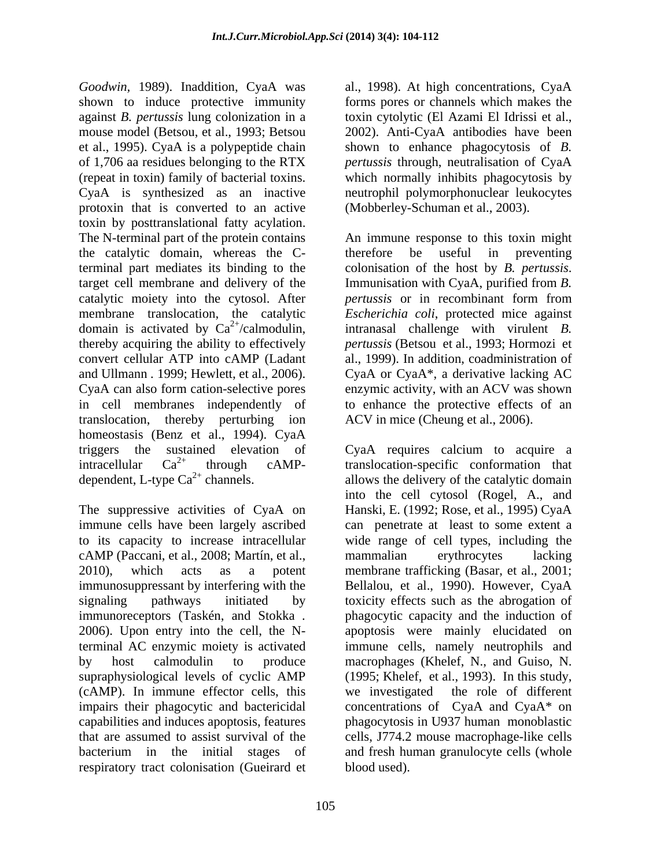*Goodwin,* 1989). Inaddition, CyaA was al., 1998). At high concentrations, CyaA shown to induce protective immunity against *B. pertussis* lung colonization in a toxin cytolytic (El Azami El Idrissi et al., mouse model (Betsou, et al., 1993; Betsou 2002). Anti-CyaA antibodies have been et al., 1995). CyaA is a polypeptide chain shown to enhance phagocytosis of *B.*  of 1,706 aa residues belonging to the RTX *pertussis* through, neutralisation of CyaA (repeat in toxin) family of bacterial toxins. which normally inhibits phagocytosis by CyaA is synthesized as an inactive neutrophil polymorphonuclear leukocytes protoxin that is converted to an active toxin by posttranslational fatty acylation. The N-terminal part of the protein contains An immune response to this toxin might the catalytic domain, whereas the Cterminal part mediates its binding to the colonisation of the host by B. pertussis. target cell membrane and delivery of the Immunisation with CyaA, purified from B. catalytic moiety into the cytosol. After *pertussis* or in recombinant form from membrane translocation, the catalytic *Escherichia coli*, protected mice against domain is activated by  $Ca^{2+}/cal$ calmodulin, intranasal challenge with virulent *B*. thereby acquiring the ability to effectively *pertussis* (Betsou et al., 1993; Hormozi et convert cellular ATP into cAMP (Ladant al., 1999). In addition, coadministration of and Ullmann *.* 1999; Hewlett, et al., 2006). CyaA or CyaA\*, a derivative lacking AC CyaA can also form cation-selective pores enzymic activity, with an ACV was shown in cell membranes independently of to enhance the protective effects of an translocation, thereby perturbing ion ACV in mice (Cheung et al., 2006). homeostasis (Benz et al., 1994). CyaA triggers the sustained elevation of CyaA requires calcium to acquire a intracellular Ca<sup>2+</sup> through cAMP- translocation-specific conformation that dependent, L-type  $Ca^{2+}$  channels. allows the delivery of the catalytic domain

The suppressive activities of CyaA on immune cells have been largely ascribed can penetrate at least to some extent a to its capacity to increase intracellular wide range of cell types, including the cAMP (Paccani, et al., 2008; Martín, et al., 2010), which acts as a potent membrane trafficking (Basar, et al., 2001; immunosuppressant by interfering with the Bellalou, et al., 1990). However, CyaA signaling pathways initiated by toxicity effects such as the abrogation of immunoreceptors (Taskén, and Stokka *.* 2006). Upon entry into the cell, the Nterminal AC enzymic moiety is activated immune cells, namely neutrophils and by host calmodulin to produce macrophages (Khelef, N., and Guiso, N. supraphysiological levels of cyclic AMP (1995; Khelef, et al., 1993). In this study, (cAMP). In immune effector cells, this impairs their phagocytic and bactericidal concentrations of CyaA and CyaA\* on capabilities and induces apoptosis, features phagocytosis in U937 human monoblastic that are assumed to assist survival of the cells, J774.2 mouse macrophage-like cells bacterium in the initial stages of and fresh human granulocyte cells (whole respiratory tract colonisation (Gueirard et

forms pores or channels which makes the (Mobberley-Schuman et al., 2003).

therefore be useful in preventing colonisation of the host by *B. pertussis*. Immunisation with CyaA, purified from *B. pertussis* or in recombinant form from

into the cell cytosol (Rogel, A., and Hanski, E. (1992; Rose, et al., 1995) CyaA mammalian erythrocytes lacking phagocytic capacity and the induction of apoptosis were mainly elucidated on we investigated the role of different blood used).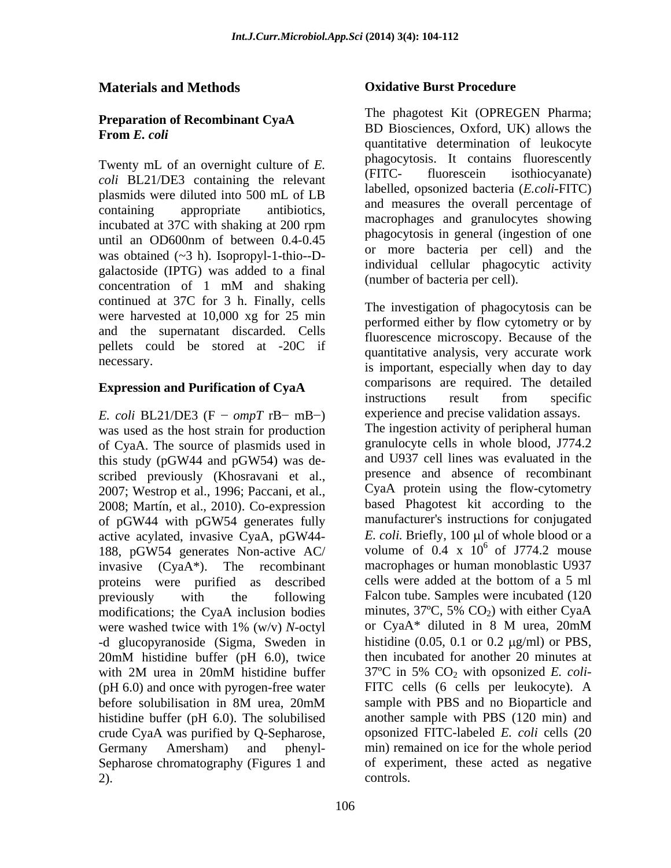# **Preparation of Recombinant CyaA**

Twenty mL of an overnight culture of *E*. Phagocytosis. It contains intolescently<br>
(FITC- fluorescein isothiocyanate) *coli* BL21/DE3 containing the relevant plasmids were diluted into 500 mL of LB until an OD600nm of between 0.4-0.45 was obtained  $(\sim 3 \text{ h})$ . Isopropyl-1-thio--Dgalactoside (IPTG) was added to a final concentration of 1 mM and shaking thumber of bacteria per cent. continued at 37C for 3 h. Finally, cells were harvested at 10,000 xg for 25 min and the supernatant discarded. Cells pellets could be stored at -20C if

*E. coli* BL21/DE3 (F –  $ompT$  rB- mB-) was used as the host strain for production of CyaA. The source of plasmids used in this study (pGW44 and pGW54) was de scribed previously (Khosravani et al., 2007; Westrop et al., 1996; Paccani, et al., 2008; Martín, et al., 2010). Co-expression of pGW44 with pGW54 generates fully active acylated, invasive CyaA, pGW44- 188, pGW54 generates Non-active AC/ proteins were purified as described cells were added at the bottom of a 5 ml modifications; the CyaA inclusion bodies minutes,  $37^{\circ}$ C,  $5\%$  CO<sub>2</sub>) with either CyaA crude CyaA was purified by Q-Sepharose, Sepharose chromatography (Figures 1 and

## **Materials and Methods Oxidative Burst Procedure**

**From** *E. coli*<br>
quantitative determination of leukocyte containing appropriate antibiotics, and measures the overall percentage of incubated at 37C with shaking at 200 rpm The phagotest Kit (OPREGEN Pharma; BD Biosciences, Oxford, UK) allows the phagocytosis. It contains fluorescently (FITC- fluorescein isothiocyanate) labelled, opsonized bacteria (*E.coli*-FITC) and measures the overall percentage of macrophages and granulocytes showing phagocytosis in general (ingestion of one or more bacteria per cell) and the individual cellular phagocytic activity (number of bacteria per cell).

necessary.<br>is important, especially when day to day **Expression and Purification of CyaA** invasive (CyaA\*). The recombinant macrophages or human monoblastic U937 previously with the following Falcon tube. Samples were incubated (120 were washed twice with 1% (w/v) *N*-octyl or CyaA\* diluted in 8 M urea, 20mM<br>-d glucopyranoside (Sigma, Sweden in histidine (0.05, 0.1 or 0.2 µg/ml) or PBS, 20mM histidine buffer (pH 6.0), twice then incubated for another 20 minutes at with 2M urea in 20mM histidine buffer  $37^{\circ}$ C in 5% CO<sub>2</sub> with opsonized *E. coli* (pH 6.0) and once with pyrogen-free water FITC cells (6 cells per leukocyte). A before solubilisation in 8M urea, 20mM histidine buffer (pH 6.0). The solubilised another sample with PBS (120 min) and Germany Amersham) and phenyl- min) remained on ice for the whole period 2). The investigation of phagocytosis can be performed either by flow cytometry or by fluorescence microscopy. Because of the quantitative analysis, very accurate work comparisons are required. The detailed instructions result from specific experience and precise validation assays. The ingestion activity of peripheral human granulocyte cells in whole blood, J774.2 and U937 cell lines was evaluated in the presence and absence of recombinant CyaA protein using the flow-cytometry based Phagotest kit according to the manufacturer's instructions for conjugated *E. coli.* Briefly, 100 µl of whole blood or a volume of  $0.4 \times 10^6$  of J774.2 mouse cells were added at the bottom of a 5 ml minutes,  $37^{\circ}$ C, 5% CO<sub>2</sub>) with either CyaA or CyaA\* diluted in 8 M urea, 20mM histidine (0.05, 0.1 or 0.2  $\mu$ g/ml) or PBS, then incubated for another 20 minutes at 37ºC in 5% CO2 with opsonized *E. coli* sample with PBS and no Bioparticle and opsonized FITC-labeled *E. coli* cells (20 of experiment, these acted as negative controls.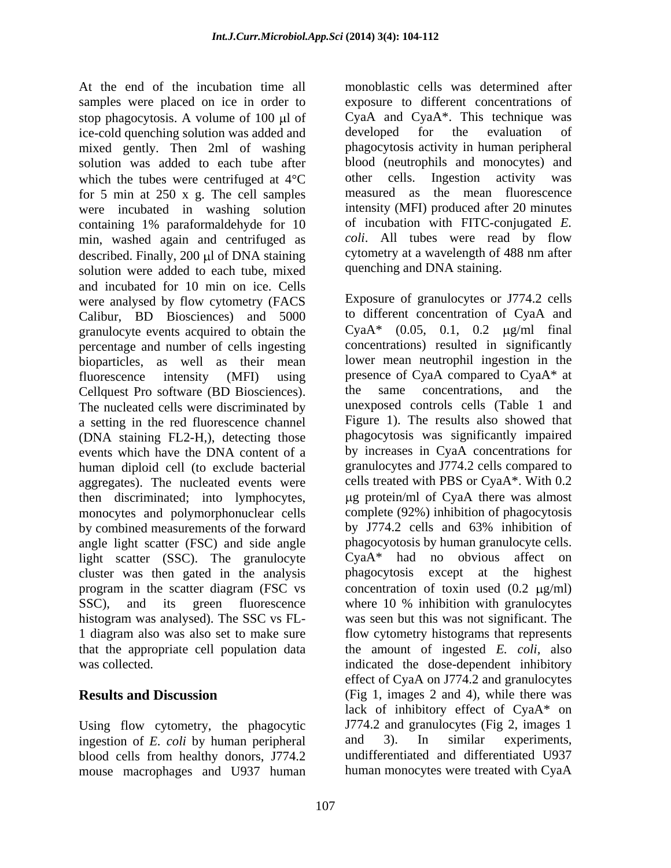At the end of the incubation time all monoblastic cells was determined after samples were placed on ice in order to stop phagocytosis. A volume of  $100 \mu l$  of CyaA and ice-cold quenching solution was added and developed ice-cold quenching solution was added and developed for the evaluation of mixed gently. Then 2ml of washing solution was added to each tube after blood (neutrophils and monocytes) and which the tubes were centrifused at  $4^{\circ}$ C other cells. Ingestion activity was which the tubes were centrifuged at  $4^{\circ}C$ for 5 min at 250 x g. The cell samples were incubated in washing solution containing 1% paraformaldehyde for 10 min, washed again and centrifuged as described. Finally,  $200 \mu l$  of DNA staining solution were added to each tube, mixed and incubated for 10 min on ice. Cells were analysed by flow cytometry (FACS Calibur, BD Biosciences) and 5000 granulocyte events acquired to obtain the percentage and number of cells ingesting bioparticles, as well as their mean Cellquest Pro software (BD Biosciences). the same concentrations, and the The nucleated cells were discriminated by a setting in the red fluorescence channel (DNA staining FL2-H,), detecting those events which have the DNA content of a human diploid cell (to exclude bacterial aggregates). The nucleated events were then discriminated; into lymphocytes, by combined measurements of the forward by J774.2 cells and 63% inhibition of light scatter (SSC). The granulocyte SSC), and its green fluorescence where 10 % inhibition with granulocytes histogram was analysed). The SSC vs FL-

Using flow cytometry, the phagocytic ingestion of *E. coli* by human peripheral and 3). In similar experiments, blood cells from healthy donors, J774.2 mouse macrophages and U937 human

exposure to different concentrations of CyaA and CyaA\*. This technique was developed for the evaluation of phagocytosis activity in human peripheral blood (neutrophils and monocytes) and other cells. Ingestion activity was measured as the mean fluorescence intensity (MFI) produced after 20 minutes of incubation with FITC-conjugated *E. coli*. All tubes were read by flow cytometry at a wavelength of 488 nm after quenching and DNA staining.

fluorescence intensity (MFI) using presence of CyaA compared to CyaA\* at monocytes and polymorphonuclear cells complete (92%) inhibition of phagocytosis angle light scatter (FSC) and side angle phagocyotosis by human granulocyte cells. cluster was then gated in the analysis phagocytosis except at the highest program in the scatter diagram (FSC vs concentration of toxin used  $(0.2 \text{ }\mu\text{g/ml})$ 1 diagram also was also set to make sure flow cytometry histograms that represents that the appropriate cell population data the amount of ingested *E. coli,* also was collected. indicated the dose-dependent inhibitory **Results and Discussion** (Fig 1, images 2 and 4), while there was Exposure of granulocytes or J774.2 cells to different concentration of CyaA and Cya $A^*$  (0.05, 0.1, 0.2  $\mu$ g/ml final concentrations) resulted in significantly lower mean neutrophil ingestion in the the same concentrations, and the unexposed controls cells (Table 1 and Figure 1). The results also showed that phagocytosis was significantly impaired by increases in CyaA concentrations for granulocytes and J774.2 cells compared to cells treated with PBS or CyaA\*. With 0.2 g protein/ml of CyaA there was almost by J774.2 cells and 63% inhibition of CyaA\* had no obvious affect on where 10 % inhibition with granulocytes was seen but this was not significant. The effect of CyaA on J774.2 and granulocytes lack of inhibitory effect of CyaA\* on J774.2 and granulocytes (Fig 2, images 1 and 3). In similar experiments, undifferentiated and differentiated U937 human monocytes were treated with CyaA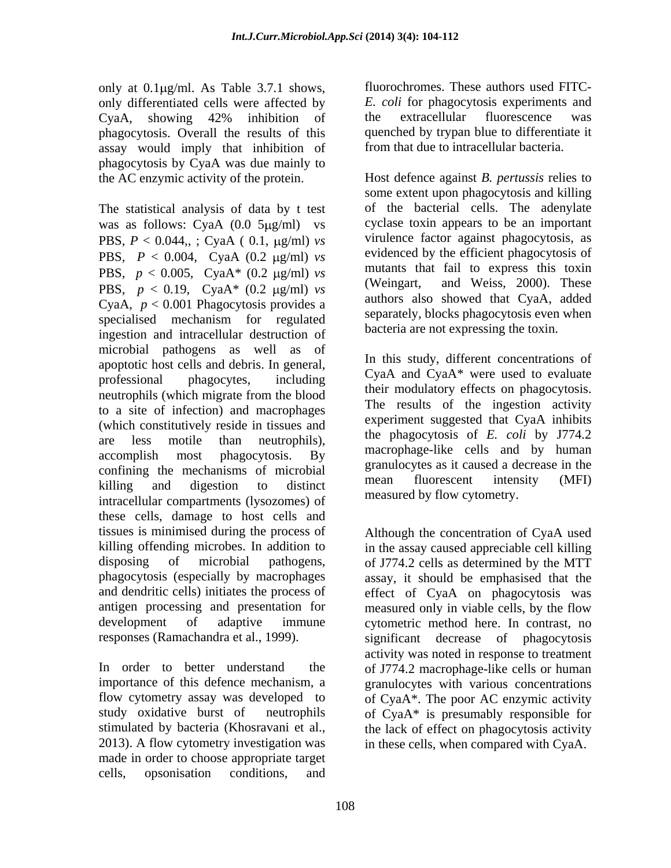only at  $0.1 \mu g/ml$ . As Table 3.7.1 shows, only differentiated cells were affected by CyaA, showing 42% inhibition of phagocytosis. Overall the results of this assay would imply that inhibition of phagocytosis by CyaA was due mainly to

The statistical analysis of data by t test was as follows: CyaA  $(0.0 5 \mu g/ml)$  vs PBS,  $P < 0.044$ , ; CyaA ( 0.1,  $\mu$ g/ml) *vs* PBS,  $P < 0.004$ , CyaA (0.2  $\mu$ g/ml) *vs* PBS,  $p < 0.005$ , CyaA\*  $(0.2 \text{ µg/ml})$  *vs* mutants the pps  $p < 0.10$ , CyaA\*  $(0.2 \text{ µg/ml})$  *vs* (Weingart, PBS,  $p < 0.19$ , CyaA\*  $(0.2 \text{ µg/ml})$  *vs* CyaA,  $p < 0.001$  Phagocytosis provides a specialised mechanism for regulated ingestion and intracellular destruction of microbial pathogens as well as of apoptotic host cells and debris. In general, professional phagocytes, including  $y_{\text{A}}$  and  $y_{\text{A}}$  were used to evaluate neutrophils (which migrate from the blood to a site of infection) and macrophages (which constitutively reside in tissues and are less motile than neutrophils), the phagocytosis of E. Coll by  $J/74.2$ accomplish most phagocytosis. By macropriage-like cens and by numal confining the mechanisms of microbial examples as a caused a decrease in the confining the mean example of the mean effluorescent intensity (MFI) killing and digestion to distinct the mean more even mensity (NFT) intracellular compartments (lysozomes) of these cells, damage to host cells and tissues is minimised during the process of Although the concentration of CyaA used killing offending microbes. In addition to in the assay caused appreciable cell killing disposing of microbial pathogens, of J774.2 cells as determined by the MTT phagocytosis (especially by macrophages assay, it should be emphasised that the and dendritic cells) initiates the process of effect of CyaA on phagocytosis was antigen processing and presentation for measured only in viable cells, by the flow development of adaptive immune cytometric method here. In contrast, no

2013). A flow cytometry investigation was in these cells, when compared with CyaA. made in order to choose appropriate target cells, opsonisation conditions, and

fluorochromes. These authors used FITC- *E. coli* for phagocytosis experiments and the extracellular fluorescence was quenched by trypan blue to differentiate it from that due to intracellular bacteria.

the AC enzymic activity of the protein. Host defence against *B. pertussis* relies to some extent upon phagocytosis and killing of the bacterial cells. The adenylate cyclase toxin appears to be an important virulence factor against phagocytosis, as evidenced by the efficient phagocytosis of mutants that fail to express this toxin and Weiss, 2000). These authors also showed that CyaA, added separately, blocks phagocytosis even when bacteria are not expressing the toxin.

> In this study, different concentrations of CyaA and CyaA\* were used to evaluate their modulatory effects on phagocytosis. The results of the ingestion activity experiment suggested that CyaA inhibits the phagocytosis of *E. coli* by J774.2 macrophage-like cells and by human granulocytes as it caused a decrease in the mean fluorescent intensity (MFI) measured by flow cytometry.

responses (Ramachandra et al., 1999). significant decrease of phagocytosis In order to better understand the of J774.2 macrophage-like cells or human importance of this defence mechanism, a granulocytes with various concentrations flow cytometry assay was developed to of CyaA\*. The poor AC enzymic activity study oxidative burst of neutrophils of CyaA\* is presumably responsible for stimulated by bacteria (Khosravani et al., the lack of effect on phagocytosis activity activity was noted in response to treatment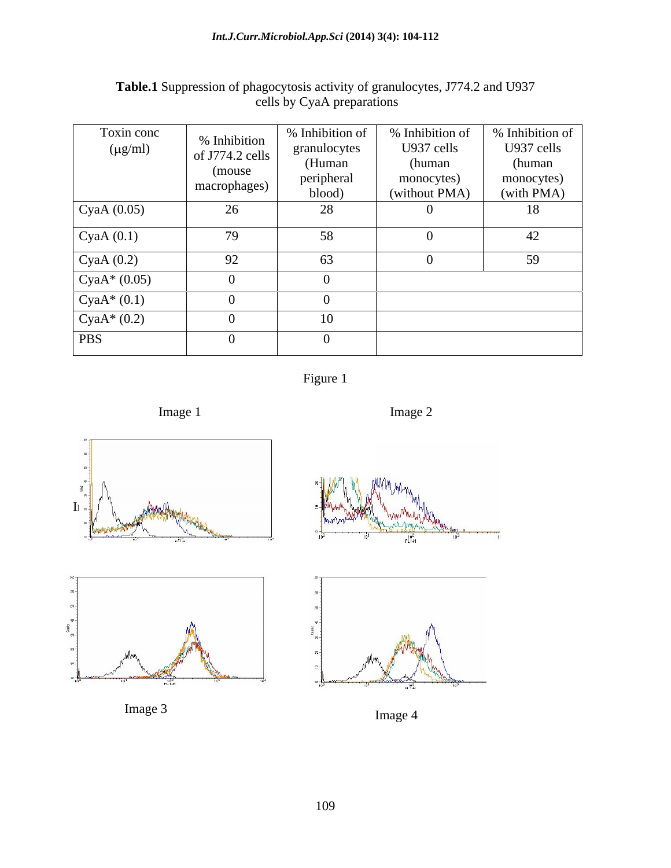## *Int.J.Curr.Microbiol.App.Sci* **(2014) 3(4): 104-112**

| Toxin conc            |                                         | % Inhibition of | % Inhibition of | % Inhibition of |
|-----------------------|-----------------------------------------|-----------------|-----------------|-----------------|
| $(\mu g/ml)$          | % Inhibition<br>of J774.2 cells $\vert$ | granulocytes    | U937 cells      | U937 cells      |
|                       |                                         | (Human          | (human          | (human)         |
|                       | (mouse)<br>macrophages)                 | peripheral      | monocytes)      | monocytes)      |
|                       |                                         | blood)          | (without PMA)   | (with PMA)      |
| $\Gamma$ CyaA (0.05)  | 26                                      | 28              |                 | 18              |
| $\Gamma$ CyaA $(0.1)$ | 79                                      | 58              |                 | 42              |
| $\Gamma$ CyaA (0.2)   | 92                                      | 63              |                 | 59              |
| $\text{CyaA*}(0.05)$  |                                         |                 |                 |                 |
| $\cos A^*(0.1)$       |                                         |                 |                 |                 |
| $\cos A^*(0.2)$       |                                         | 10              |                 |                 |
| <b>PBS</b>            |                                         |                 |                 |                 |

# **Table.1** Suppression of phagocytosis activity of granulocytes, J774.2 and U937 cells by CyaA preparations













Image 3 Image 4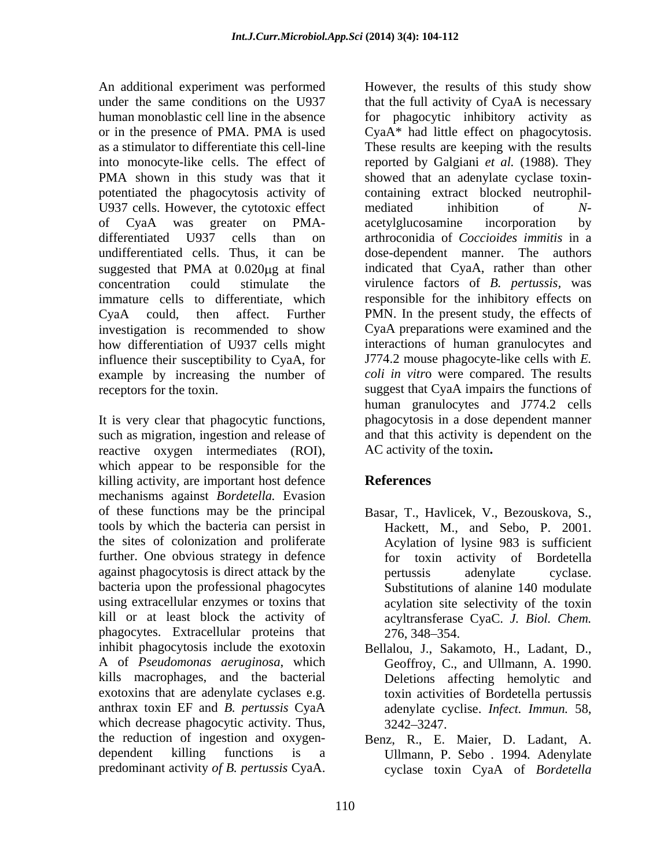An additional experiment was performed However, the results of this study show into monocyte-like cells. The effect of potentiated the phagocytosis activity of U937 cells. However, the cytotoxic effect mediated inhibition of  $N$ investigation is recommended to show how differentiation of U937 cells might influence their susceptibility to CyaA, for

It is very clear that phagocytic functions, such as migration, ingestion and release of reactive oxygen intermediates (ROI), AC activity of the toxin. which appear to be responsible for the killing activity, are important host defence **References** mechanisms against *Bordetella.* Evasion of these functions may be the principal Basar, T., Havlicek, V., Bezouskova, S., tools by which the bacteria can persist in the sites of colonization and proliferate Acylation of lysine 983 is sufficient further. One obvious strategy in defence against phagocytosis is direct attack by the bacteria upon the professional phagocytes using extracellular enzymes or toxins that kill or at least block the activity of phagocytes. Extracellular proteins that 276, 348–354. inhibit phagocytosis include the exotoxin Bellalou, J., Sakamoto, H., Ladant, D., A of *Pseudomonas aeruginosa*, which Geoffroy, C., and Ullmann, A. 1990. kills macrophages, and the bacterial exotoxins that are adenylate cyclases e.g. anthrax toxin EF and *B. pertussis* CyaA adenylate cyclise. *Infect. Immun.* 58, which decrease phagocytic activity. Thus,  $3242-3247$ . the reduction of ingestion and oxygen- Benz, R., E. Maier, D. Ladant, A. dependent killing functions is a Ullmann, P. Sebo *.* 1994*.* Adenylate

under the same conditions on the U937 that the full activity of CyaA is necessary human monoblastic cell line in the absence for phagocytic inhibitory activity as or in the presence of PMA. PMA is used CyaA\* had little effect on phagocytosis. as a stimulator to differentiate this cell-line These results are keeping with the results PMA shown in this study was that it showed that an adenylate cyclase toxinof CyaA was greater on PMA differentiated U937 cells than on arthroconidia of *Coccioides immitis* in a undifferentiated cells. Thus, it can be dose-dependent manner. The authors suggested that PMA at 0.020µg at final indicated that CyaA, rather than other concentration could stimulate the virulence factors of *B. pertussis,* was immature cells to differentiate, which responsible for the inhibitory effects on CyaA could, then affect. Further PMN. In the present study, the effects of example by increasing the number of *coli in vitr*o were compared. The results receptors for the toxin. suggest that CyaA impairs the functions of An additional equivariant work performed that the results of this study show that a maximum anomologized in the infermation of  $r$  phageoptos in the phase of *B*. **Phase CyaA.** That the results of Expansion of the results reported by Galgiani *et al.* (1988). They containing extract blocked neutrophil mediated inhibition of *N* acetylglucosamine incorporation by indicated that CyaA, rather than other CyaA preparations were examined and the interactions of human granulocytes and J774.2 mouse phagocyte-like cells with *E.*  human granulocytes and J774.2 cells phagocytosis in a dose dependent manner and that this activity is dependent on the AC activity of the toxin**. References**

- Hackett, M., and Sebo, P. 2001. for toxin activity of Bordetella pertussis adenylate cyclase. Substitutions of alanine 140 modulate acylation site selectivity of the toxin acyltransferase CyaC. *J. Biol. Chem.* 276, 348–354.
- Deletions affecting hemolytic and toxin activities of Bordetella pertussis 3242 3247.
- cyclase toxin CyaA of *Bordetella*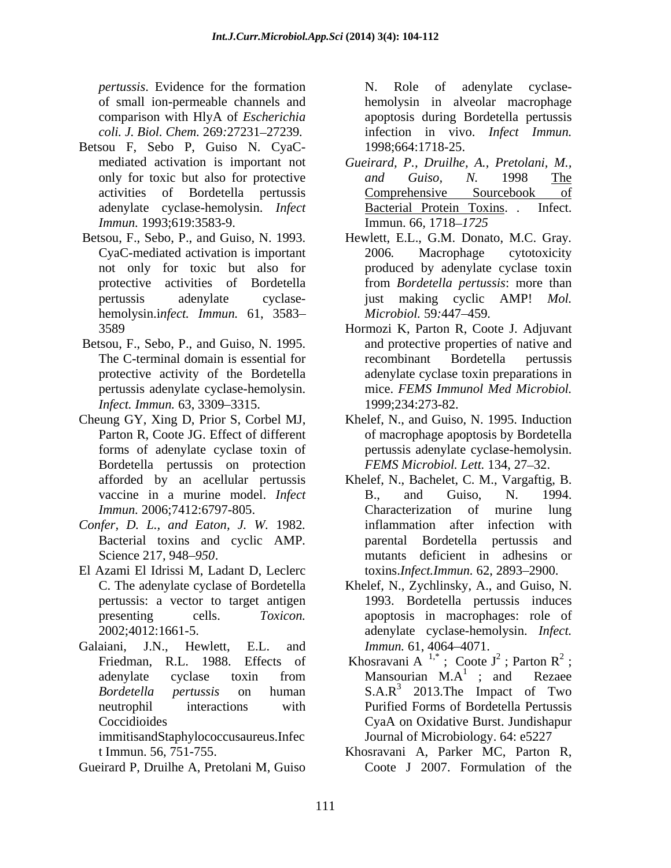*pertussis*. Evidence for the formation of small ion-permeable channels and hemolysin in alveolar macrophage comparison with HlyA of *Escherichia*

- Betsou F, Sebo P, Guiso N. CyaC- *Immun.* 1993;619:3583-9. *Immun.* 66, 1718–1725
- hemolysin.i*nfect. Immun.* 61, 3583
- pertussis adenylate cyclase-hemolysin. *Infect. Immun.* 63, 3309-3315.
- Cheung GY, Xing D, Prior S, Corbel MJ, Bordetella pertussis on protection afforded by an acellular pertussis
- *Confer, D. L., and Eaton, J. W.* 1982*.*
- El Azami El Idrissi M, Ladant D, Leclerc pertussis: a vector to target antigen
- Galaiani, J.N., Hewlett, E.L. and *Immun*. 61, 4064–4071.

immitisandStaphylococcusaureus.Infec

Gueirard P, Druilhe A, Pretolani M, Guiso

*coli. J. Biol. Chem.* 269*:*27231 27239*.* infection in vivo. *Infect Immun.* N. Role of adenylate cyclase apoptosis during Bordetella pertussis 1998;664:1718-25.

- mediated activation is important not *Gueirard, P., Druilhe, A., Pretolani, M.,* only for toxic but also for protective and Guiso, N. 1998 The activities of Bordetella pertussis Comprehensive Sourcebook of adenylate cyclase-hemolysin. *Infect and Guiso, N.* 1998 The Bacterial Protein Toxins. . Immun. 66, 1718–1725
- Betsou, F., Sebo, P., and Guiso, N. 1993. Hewlett, E.L., G.M. Donato, M.C. Gray*.* CyaC-mediated activation is important not only for toxic but also for produced by adenylate cyclase toxin protective activities of Bordetella from *Bordetella pertussis*: more than pertussis adenylate cyclase- just making cyclic AMP! *Mol.* 2006*.* Macrophage cytotoxicity *Microbiol.* 59*:*447 459*.*
- 3589 Hormozi K, Parton R, Coote J. Adjuvant Betsou, F., Sebo, P., and Guiso, N. 1995. and protective properties of native and The C-terminal domain is essential for protective activity of the Bordetella adenylate cyclase toxin preparations in recombinant Bordetella pertussis mice. *FEMS Immunol Med Microbiol.* 1999;234:273-82.
	- Parton R, Coote JG. Effect of different of macrophage apoptosis by Bordetella forms of adenylate cyclase toxin of pertussis adenylate cyclase-hemolysin. Khelef, N., and Guiso, N. 1995. Induction *FEMS Microbiol. Lett.* 134, 27–32.
	- vaccine in a murine model. *Infect Immun.* 2006;7412:6797-805. Bacterial toxins and cyclic AMP*.* Science 217, 948–950. mutants deficient in adhesins or Khelef, N., Bachelet, C. M., Vargaftig, B. B., and Guiso, N. 1994.<br>Characterization of murine lung inflammation after infection parental Bordetella pertussis and toxins.*Infect.Immun.* 62, 2893–2900.
	- C. The adenylate cyclase of Bordetella Khelef, N., Zychlinsky, A., and Guiso, N. presenting cells. *Toxicon.* apoptosis in macrophages: role of 2002;4012:1661-5. adenylate cyclase-hemolysin. *Infect.*  1993. Bordetella pertussis induces *Immun.* 61, 4064–4071.
	- Friedman, R.L. 1988. Effects of Khosravani A<sup>1,\*</sup>; Coote J<sup>2</sup>; Parton R<sup>2</sup>; adenylate cyclase toxin from Mansourian  $M.A^1$ ; and Rezaee *Bordetella pertussis* on human S.A.R<sup>3</sup> 2013.The Impact of Two neutrophil interactions with Purified Forms of Bordetella Pertussis Coccidioides CyaA on Oxidative Burst. Jundishapur ; Coote  $J^2$ ; Parton  $R^2$ ; ; Parton  $R^2$ ;  $2$ . ; Mansourian  $M.A^1$ ; and Rezaee  $^{1}$  and  $D_{07000}$ ; and Rezaee Journal of Microbiology. 64: e5227
	- t Immun. 56, 751-755. Khosravani A, Parker MC, Parton R, Coote J 2007. Formulation of the